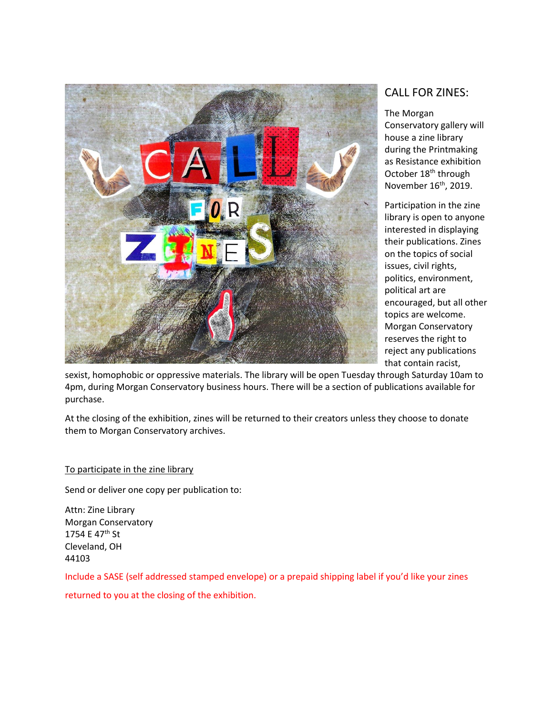

## CALL FOR ZINES:

The Morgan Conservatory gallery will house a zine library during the Printmaking as Resistance exhibition October 18<sup>th</sup> through November 16<sup>th</sup>, 2019.

Participation in the zine library is open to anyone interested in displaying their publications. Zines on the topics of social issues, civil rights, politics, environment, political art are encouraged, but all other topics are welcome. Morgan Conservatory reserves the right to reject any publications that contain racist,

sexist, homophobic or oppressive materials. The library will be open Tuesday through Saturday 10am to 4pm, during Morgan Conservatory business hours. There will be a section of publications available for purchase.

At the closing of the exhibition, zines will be returned to their creators unless they choose to donate them to Morgan Conservatory archives.

## To participate in the zine library

Send or deliver one copy per publication to:

Attn: Zine Library Morgan Conservatory 1754 E 47<sup>th</sup> St Cleveland, OH 44103

Include a SASE (self addressed stamped envelope) or a prepaid shipping label if you'd like your zines returned to you at the closing of the exhibition.